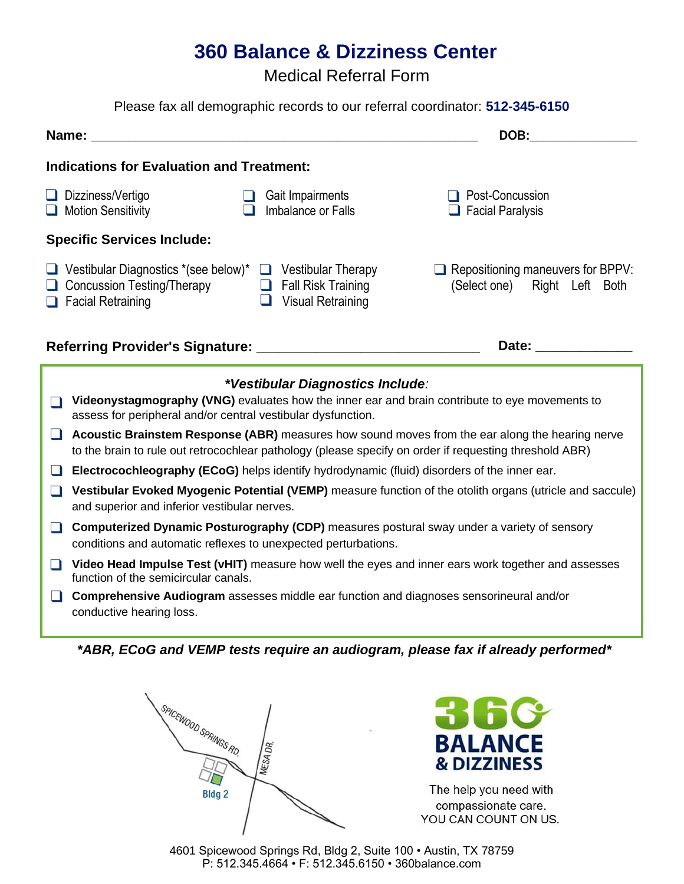# **360 Balance & Dizziness Center**

Medical Referral Form

#### Please fax all demographic records to our referral coordinator: **512-345-6150**

| Name:                                                                                                 |                                                                                                        | DOB:                                                                     |
|-------------------------------------------------------------------------------------------------------|--------------------------------------------------------------------------------------------------------|--------------------------------------------------------------------------|
| <b>Indications for Evaluation and Treatment:</b>                                                      |                                                                                                        |                                                                          |
| Dizziness/Vertigo<br><b>Contract</b><br>Motion Sensitivity                                            | Gait Impairments<br>Imbalance or Falls                                                                 | Post-Concussion<br>$\Box$ Facial Paralysis                               |
| <b>Specific Services Include:</b>                                                                     |                                                                                                        |                                                                          |
| $\Box$ Vestibular Diagnostics *(see below)*<br>Concussion Testing/Therapy<br>$\Box$ Facial Retraining | <b>Vestibular Therapy</b><br>$\Box$<br><b>Fall Risk Training</b><br>$\Box$<br><b>Visual Retraining</b> | $\Box$ Repositioning maneuvers for BPPV:<br>(Select one) Right Left Both |
| Referring Provider's Signature:                                                                       |                                                                                                        | Date:                                                                    |



- **Videonystagmography (VNG)** evaluates how the inner ear and brain contribute to eye movements to assess for peripheral and/or central vestibular dysfunction.
- **Acoustic Brainstem Response (ABR)** measures how sound moves from the ear along the hearing nerve to the brain to rule out retrocochlear pathology (please specify on order if requesting threshold ABR)
- **Electrocochleography (ECoG)** helps identify hydrodynamic (fluid) disorders of the inner ear.
- **Vestibular Evoked Myogenic Potential (VEMP)** measure function of the otolith organs (utricle and saccule) and superior and inferior vestibular nerves.
- **Computerized Dynamic Posturography (CDP)** measures postural sway under a variety of sensory conditions and automatic reflexes to unexpected perturbations.
- **T** Video Head Impulse Test (vHIT) measure how well the eyes and inner ears work together and assesses function of the semicircular canals.
- **Comprehensive Audiogram** assesses middle ear function and diagnoses sensorineural and/or conductive hearing loss.

*\*ABR, ECoG and VEMP tests require an audiogram, please fax if already performed\**





The help you need with compassionate care. YOU CAN COUNT ON US.

4601 Spicewood Springs Rd, Bldg 2, Suite 100 • Austin, TX 78759 P: 512.345.4664 • F: 512.345.6150 • 360balance.com